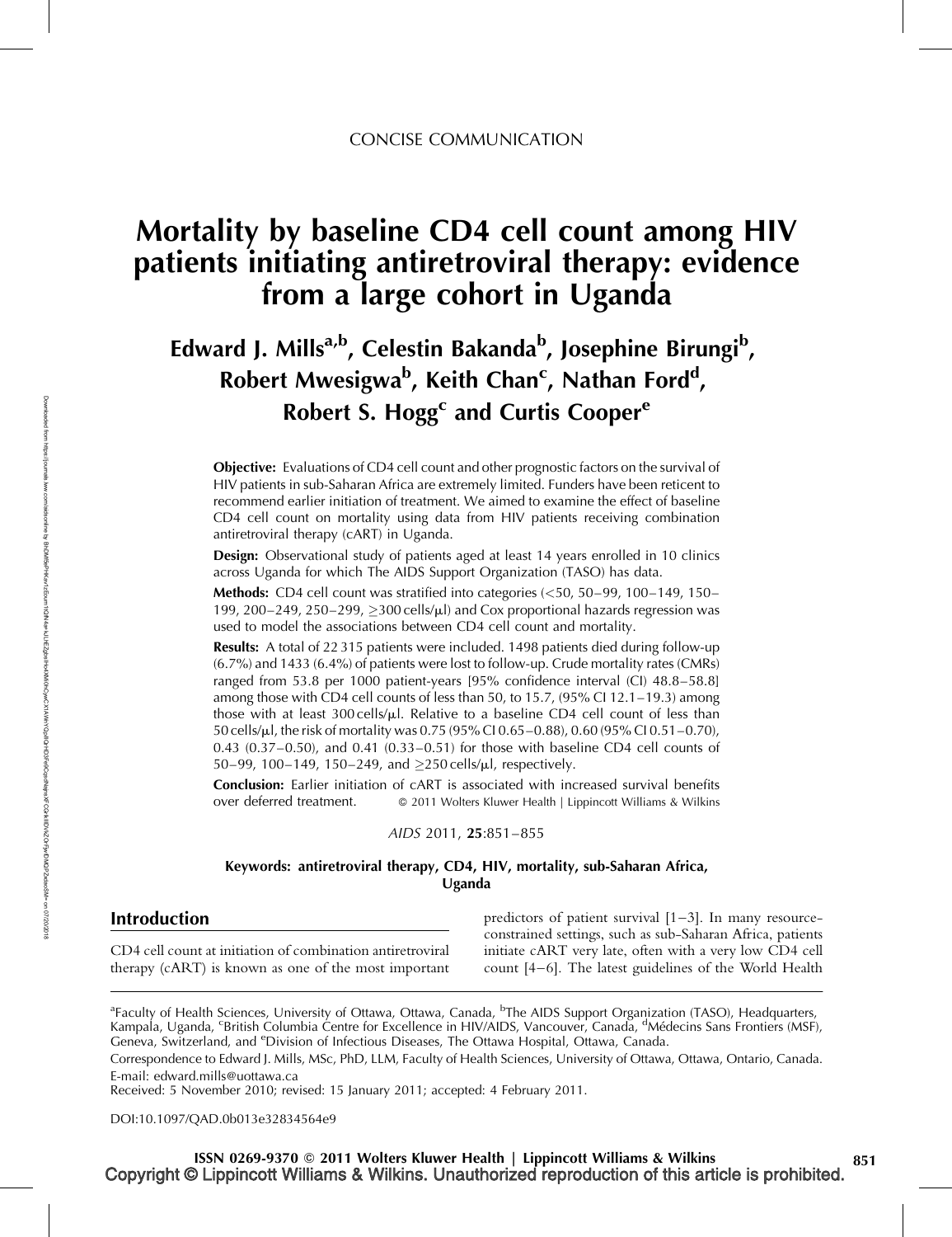# Mortality by baseline CD4 cell count among HIV patients initiating antiretroviral therapy: evidence from a large cohort in Uganda

# Edward J. Mills<sup>a,b</sup>, Celestin Bakanda<sup>b</sup>, Josephine Birungi<sup>b</sup>, Robert Mwesigwa<sup>b</sup>, Keith Chan<sup>c</sup>, Nathan Ford<sup>d</sup>, Robert S. Hogg<sup>c</sup> and Curtis Cooper<sup>e</sup>

Objective: Evaluations of CD4 cell count and other prognostic factors on the survival of HIV patients in sub-Saharan Africa are extremely limited. Funders have been reticent to recommend earlier initiation of treatment. We aimed to examine the effect of baseline CD4 cell count on mortality using data from HIV patients receiving combination antiretroviral therapy (cART) in Uganda.

**Design:** Observational study of patients aged at least 14 years enrolled in 10 clinics across Uganda for which The AIDS Support Organization (TASO) has data.

**Methods:** CD4 cell count was stratified into categories  $(50, 50-99, 100-149, 150-140)$ 199, 200–249, 250–299,  $>300$  cells/ $\mu$ ) and Cox proportional hazards regression was used to model the associations between CD4 cell count and mortality.

Results: A total of 22315 patients were included. 1498 patients died during follow-up (6.7%) and 1433 (6.4%) of patients were lost to follow-up. Crude mortality rates (CMRs) ranged from 53.8 per 1000 patient-years [95% confidence interval (CI) 48.8–58.8] among those with CD4 cell counts of less than 50, to 15.7, (95% CI 12.1–19.3) among those with at least 300 cells/ $\mu$ l. Relative to a baseline CD4 cell count of less than 50 cells/ml, the risk of mortality was 0.75 (95% CI 0.65–0.88), 0.60 (95% CI 0.51–0.70), 0.43 (0.37–0.50), and 0.41 (0.33–0.51) for those with baseline CD4 cell counts of 50–99, 100–149, 150–249, and  $\geq$ 250 cells/ $\mu$ l, respectively.

Conclusion: Earlier initiation of cART is associated with increased survival benefits over deferred treatment.  $\qquad \circ$  2011 Wolters Kluwer Health | Lippincott Williams & Wilkins

### AIDS 2011, 25*:*851–855

## Keywords: antiretroviral therapy, CD4, HIV, mortality, sub-Saharan Africa, Uganda

## Introduction

CD4 cell count at initiation of combination antiretroviral therapy (cART) is known as one of the most important

predictors of patient survival  $[1-3]$ . In many resourceconstrained settings, such as sub-Saharan Africa, patients initiate cART very late, often with a very low CD4 cell count [4–6]. The latest guidelines of the World Health

DOI[:10.1097/QAD.0b013e32834564e9](http://dx.doi.org/10.1097/QAD.0b013e32834564e9)

<sup>&</sup>lt;sup>a</sup>Faculty of Health Sciences, University of Ottawa, Ottawa, Canada, <sup>b</sup>The AIDS Support Organization (TASO), Headquarters, Kampala, Uganda, <sup>c</sup>British Columbia Centre for Excellence in HIV/AIDS, Vancouver, Canada, <sup>d</sup>Médecins Sans Frontiers (MSF), Geneva, Switzerland, and <sup>e</sup>Division of Infectious Diseases, The Ottawa Hospital, Ottawa, Canada.

Correspondence to Edward J. Mills, MSc, PhD, LLM, Faculty of Health Sciences, University of Ottawa, Ottawa, Ontario, Canada. E-mail: [edward.mills@uottawa.ca](mailto:edward.mills@uottawa.ca)

Received: 5 November 2010; revised: 15 January 2011; accepted: 4 February 2011.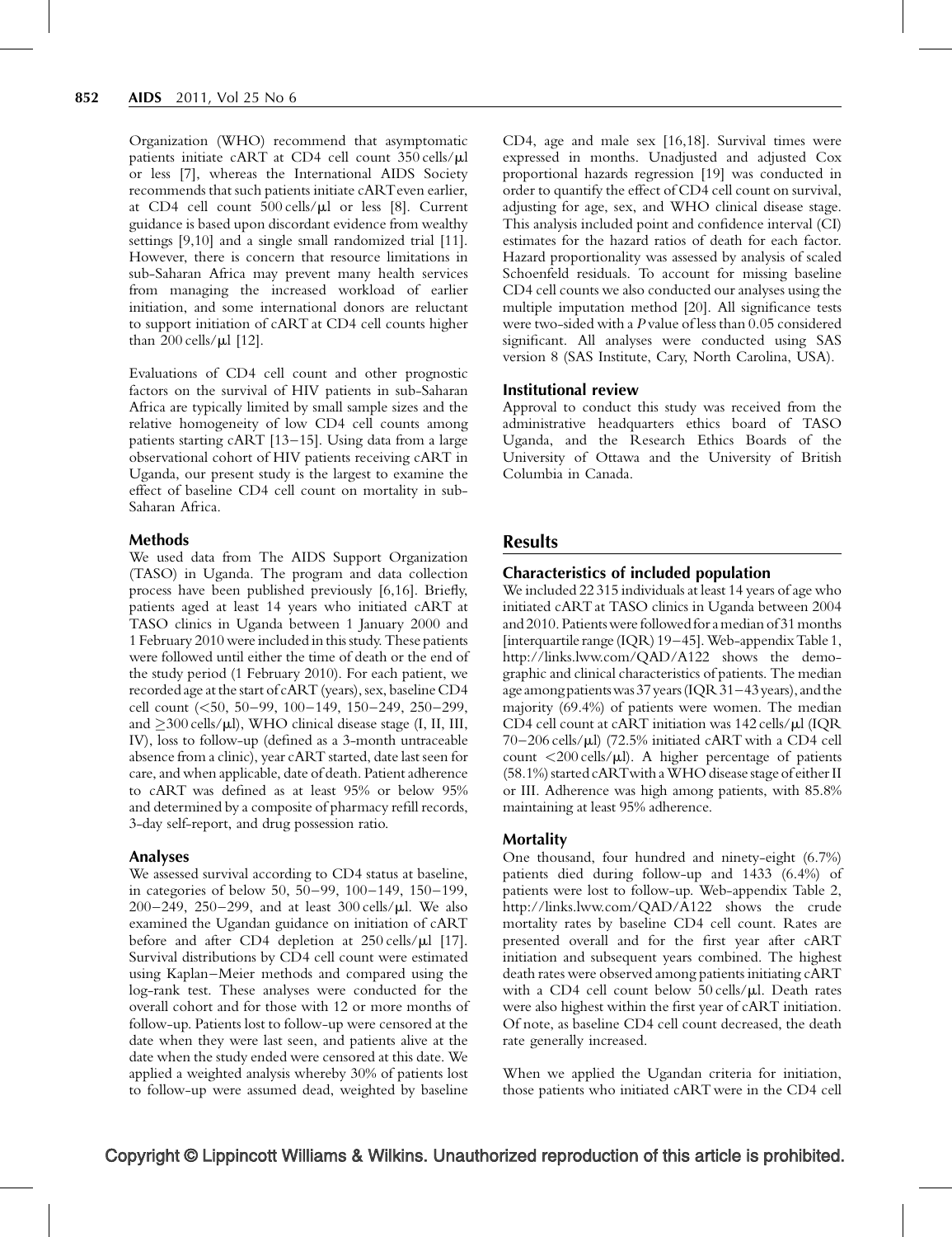Organization (WHO) recommend that asymptomatic patients initiate cART at CD4 cell count 350 cells/ $\mu$ l or less [7], whereas the International AIDS Society recommends that such patients initiate cARTeven earlier, at CD4 cell count  $500$  cells/ $\mu$ l or less [8]. Current guidance is based upon discordant evidence from wealthy settings [9,10] and a single small randomized trial [11]. However, there is concern that resource limitations in sub-Saharan Africa may prevent many health services from managing the increased workload of earlier initiation, and some international donors are reluctant to support initiation of cART at CD4 cell counts higher than 200 cells/ $\mu$ l [12].

Evaluations of CD4 cell count and other prognostic factors on the survival of HIV patients in sub-Saharan Africa are typically limited by small sample sizes and the relative homogeneity of low CD4 cell counts among patients starting cART [13–15]. Using data from a large observational cohort of HIV patients receiving cART in Uganda, our present study is the largest to examine the effect of baseline CD4 cell count on mortality in sub-Saharan Africa.

### Methods

We used data from The AIDS Support Organization (TASO) in Uganda. The program and data collection process have been published previously [6,16]. Briefly, patients aged at least 14 years who initiated cART at TASO clinics in Uganda between 1 January 2000 and 1 February 2010 were included in this study. These patients were followed until either the time of death or the end of the study period (1 February 2010). For each patient, we recorded age at the start of cART (years), sex, baseline CD4 cell count (<50, 50–99, 100–149, 150–249, 250–299, and  $\geq$ 300 cells/ $\mu$ l), WHO clinical disease stage (I, II, III, IV), loss to follow-up (defined as a 3-month untraceable absence from a clinic), year cART started, date last seen for care, and when applicable, date of death. Patient adherence to cART was defined as at least 95% or below 95% and determined by a composite of pharmacy refill records, 3-day self-report, and drug possession ratio.

## Analyses

We assessed survival according to CD4 status at baseline, in categories of below 50, 50–99, 100–149, 150–199, 200–249, 250–299, and at least  $300$  cells/ $\mu$ l. We also examined the Ugandan guidance on initiation of cART before and after CD4 depletion at  $250$  cells/ $\mu$ l [17]. Survival distributions by CD4 cell count were estimated using Kaplan–Meier methods and compared using the log-rank test. These analyses were conducted for the overall cohort and for those with 12 or more months of follow-up. Patients lost to follow-up were censored at the date when they were last seen, and patients alive at the date when the study ended were censored at this date. We applied a weighted analysis whereby 30% of patients lost to follow-up were assumed dead, weighted by baseline

CD4, age and male sex [16,18]. Survival times were expressed in months. Unadjusted and adjusted Cox proportional hazards regression [19] was conducted in order to quantify the effect of CD4 cell count on survival, adjusting for age, sex, and WHO clinical disease stage. This analysis included point and confidence interval (CI) estimates for the hazard ratios of death for each factor. Hazard proportionality was assessed by analysis of scaled Schoenfeld residuals. To account for missing baseline CD4 cell counts we also conducted our analyses using the multiple imputation method [20]. All significance tests were two-sided with a P value of less than 0.05 considered significant. All analyses were conducted using SAS version 8 (SAS Institute, Cary, North Carolina, USA).

## Institutional review

Approval to conduct this study was received from the administrative headquarters ethics board of TASO Uganda, and the Research Ethics Boards of the University of Ottawa and the University of British Columbia in Canada.

# Results

## Characteristics of included population

We included 22 315 individuals at least 14 years of age who initiated cART at TASO clinics in Uganda between 2004 and 2010. Patients were followed for a median of 31 months  $[interquartile range (IQR) 19–45]$ . Web-appendix Table 1, <http://links.lww.com/QAD/A122> shows the demographic and clinical characteristics of patients. The median age among patients was 37 years (IQR 31–43 years), and the majority (69.4%) of patients were women. The median CD4 cell count at cART initiation was  $142$  cells/ $\mu$ l (IQR  $70-206$  cells/ $\mu$ l) (72.5% initiated cART with a CD4 cell count  $\langle 200 \text{ cells/}\mu l \rangle$ . A higher percentage of patients (58.1%) started cART with a WHO disease stage of either II or III. Adherence was high among patients, with 85.8% maintaining at least 95% adherence.

## **Mortality**

One thousand, four hundred and ninety-eight (6.7%) patients died during follow-up and 1433 (6.4%) of patients were lost to follow-up. Web-appendix Table 2, <http://links.lww.com/QAD/A122> shows the crude mortality rates by baseline CD4 cell count. Rates are presented overall and for the first year after cART initiation and subsequent years combined. The highest death rates were observed among patients initiating cART with a CD4 cell count below  $50$  cells/ $\mu$ l. Death rates were also highest within the first year of cART initiation. Of note, as baseline CD4 cell count decreased, the death rate generally increased.

When we applied the Ugandan criteria for initiation, those patients who initiated cART were in the CD4 cell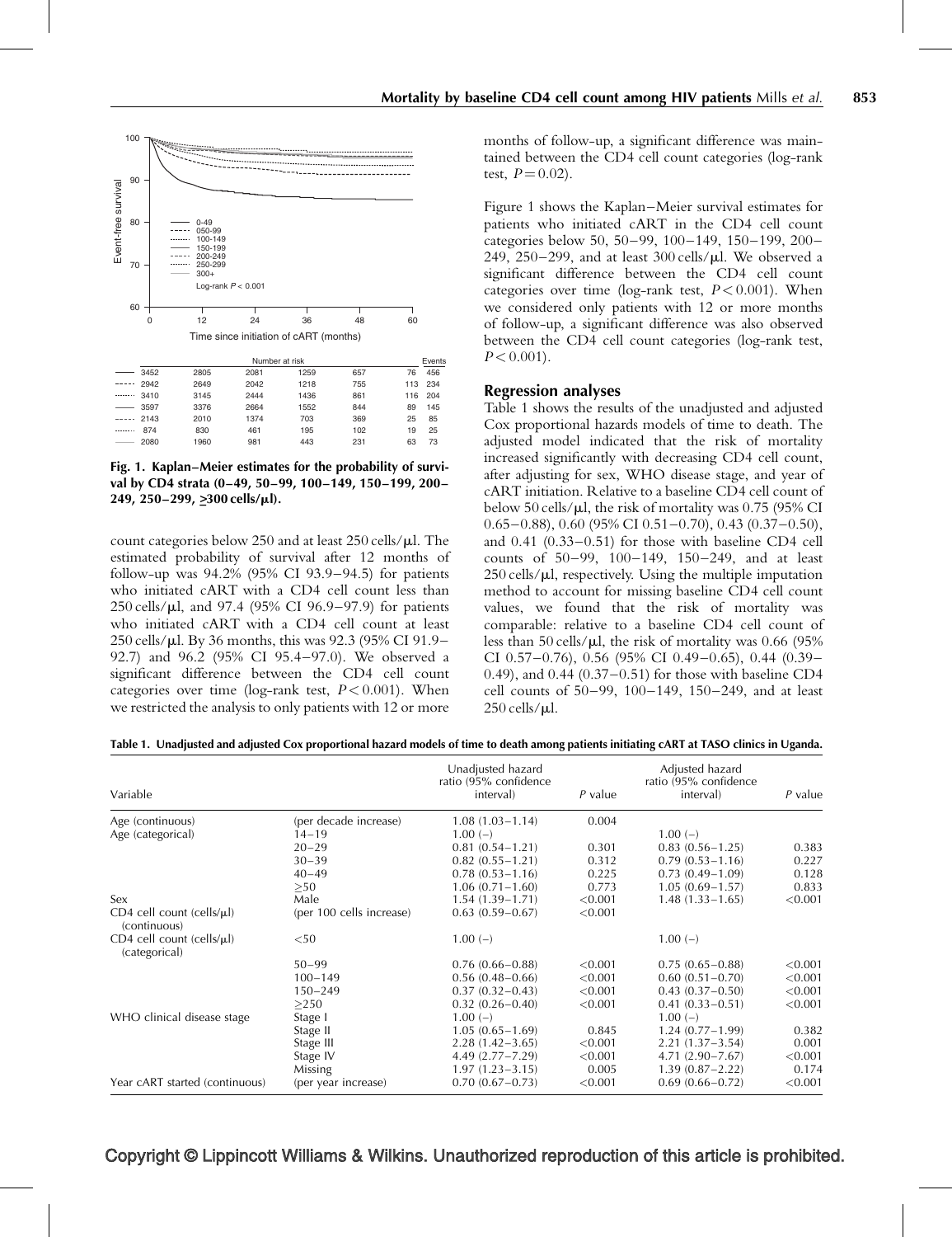

Fig. 1. Kaplan–Meier estimates for the probability of survival by CD4 strata (0–49, 50–99, 100–149, 150–199, 200– 249, 250–299, >–300 cells/*<sup>m</sup>*l).

count categories below 250 and at least  $250$  cells/ $\mu$ l. The estimated probability of survival after 12 months of follow-up was 94.2% (95% CI 93.9–94.5) for patients who initiated cART with a CD4 cell count less than 250 cells/ $\mu$ l, and 97.4 (95% CI 96.9-97.9) for patients who initiated cART with a CD4 cell count at least 250 cells/ml. By 36 months, this was 92.3 (95% CI 91.9– 92.7) and 96.2 (95% CI 95.4–97.0). We observed a significant difference between the CD4 cell count categories over time (log-rank test,  $P < 0.001$ ). When we restricted the analysis to only patients with 12 or more

months of follow-up, a significant difference was maintained between the CD4 cell count categories (log-rank test,  $P = 0.02$ .

Figure 1 shows the Kaplan–Meier survival estimates for patients who initiated cART in the CD4 cell count categories below 50, 50–99, 100–149, 150–199, 200– 249, 250–299, and at least  $300$  cells/ $\mu$ l. We observed a significant difference between the CD4 cell count categories over time (log-rank test,  $P < 0.001$ ). When we considered only patients with 12 or more months of follow-up, a significant difference was also observed between the CD4 cell count categories (log-rank test,  $P < 0.001$ ).

#### Regression analyses

Table 1 shows the results of the unadjusted and adjusted Cox proportional hazards models of time to death. The adjusted model indicated that the risk of mortality increased significantly with decreasing CD4 cell count, after adjusting for sex, WHO disease stage, and year of cART initiation. Relative to a baseline CD4 cell count of below 50 cells/ $\mu$ l, the risk of mortality was 0.75 (95% CI  $0.65-0.88$ ),  $0.60$  (95% CI  $0.51-0.70$ ),  $0.43$  ( $0.37-0.50$ ), and 0.41 (0.33–0.51) for those with baseline CD4 cell counts of 50–99, 100–149, 150–249, and at least  $250$  cells/ $\mu$ l, respectively. Using the multiple imputation method to account for missing baseline CD4 cell count values, we found that the risk of mortality was comparable: relative to a baseline CD4 cell count of less than 50 cells/ $\mu$ l, the risk of mortality was 0.66 (95%) CI 0.57–0.76), 0.56 (95% CI 0.49–0.65), 0.44 (0.39– 0.49), and 0.44 (0.37–0.51) for those with baseline CD4 cell counts of 50–99, 100–149, 150–249, and at least  $250$  cells/ $\mu$ l.

| Table 1. Unadjusted and adjusted Cox proportional hazard models of time to death among patients initiating cART at TASO clinics in Uganda. |  |  |  |  |  |  |
|--------------------------------------------------------------------------------------------------------------------------------------------|--|--|--|--|--|--|
|                                                                                                                                            |  |  |  |  |  |  |

| Variable                                           |                          | Unadjusted hazard<br>ratio (95% confidence<br>interval) | $P$ value | Adjusted hazard<br>ratio (95% confidence<br>interval) | $P$ value |
|----------------------------------------------------|--------------------------|---------------------------------------------------------|-----------|-------------------------------------------------------|-----------|
| Age (continuous)                                   | (per decade increase)    | $1.08(1.03 - 1.14)$                                     | 0.004     |                                                       |           |
| Age (categorical)                                  | $14 - 19$                | $1.00(-)$                                               |           | $1.00(-)$                                             |           |
|                                                    | $20 - 29$                | $0.81(0.54 - 1.21)$                                     | 0.301     | $0.83(0.56 - 1.25)$                                   | 0.383     |
|                                                    | $30 - 39$                | $0.82(0.55 - 1.21)$                                     | 0.312     | $0.79(0.53 - 1.16)$                                   | 0.227     |
|                                                    | $40 - 49$                | $0.78(0.53 - 1.16)$                                     | 0.225     | $0.73(0.49-1.09)$                                     | 0.128     |
|                                                    | >50                      | $1.06(0.71 - 1.60)$                                     | 0.773     | $1.05(0.69 - 1.57)$                                   | 0.833     |
| Sex                                                | Male                     | $1.54(1.39 - 1.71)$                                     | < 0.001   | $1.48(1.33 - 1.65)$                                   | < 0.001   |
| CD4 cell count (cells/ $\mu$ l)<br>(continuous)    | (per 100 cells increase) | $0.63(0.59 - 0.67)$                                     | < 0.001   |                                                       |           |
| $CD4$ cell count (cells/ $\mu$ l)<br>(categorical) | $50$                     | $1.00(-)$                                               |           | $1.00(-)$                                             |           |
|                                                    | $50 - 99$                | $0.76(0.66 - 0.88)$                                     | < 0.001   | $0.75(0.65 - 0.88)$                                   | < 0.001   |
|                                                    | $100 - 149$              | $0.56(0.48 - 0.66)$                                     | < 0.001   | $0.60(0.51 - 0.70)$                                   | < 0.001   |
|                                                    | $150 - 249$              | $0.37(0.32 - 0.43)$                                     | < 0.001   | $0.43(0.37-0.50)$                                     | < 0.001   |
|                                                    | >250                     | $0.32(0.26 - 0.40)$                                     | < 0.001   | $0.41(0.33 - 0.51)$                                   | < 0.001   |
| WHO clinical disease stage                         | Stage I                  | $1.00(-)$                                               |           | $1.00(-)$                                             |           |
|                                                    | Stage II                 | $1.05(0.65 - 1.69)$                                     | 0.845     | $1.24(0.77-1.99)$                                     | 0.382     |
|                                                    | Stage III                | $2.28(1.42 - 3.65)$                                     | < 0.001   | $2.21(1.37-3.54)$                                     | 0.001     |
|                                                    | Stage IV                 | $4.49(2.77 - 7.29)$                                     | < 0.001   | $4.71(2.90 - 7.67)$                                   | < 0.001   |
|                                                    | <b>Missing</b>           | $1.97(1.23 - 3.15)$                                     | 0.005     | $1.39(0.87 - 2.22)$                                   | 0.174     |
| Year cART started (continuous)                     | (per year increase)      | $0.70(0.67 - 0.73)$                                     | < 0.001   | $0.69(0.66 - 0.72)$                                   | < 0.001   |

## Copyright © Lippincott Williams & Wilkins. Unauthorized reproduction of this article is prohibited.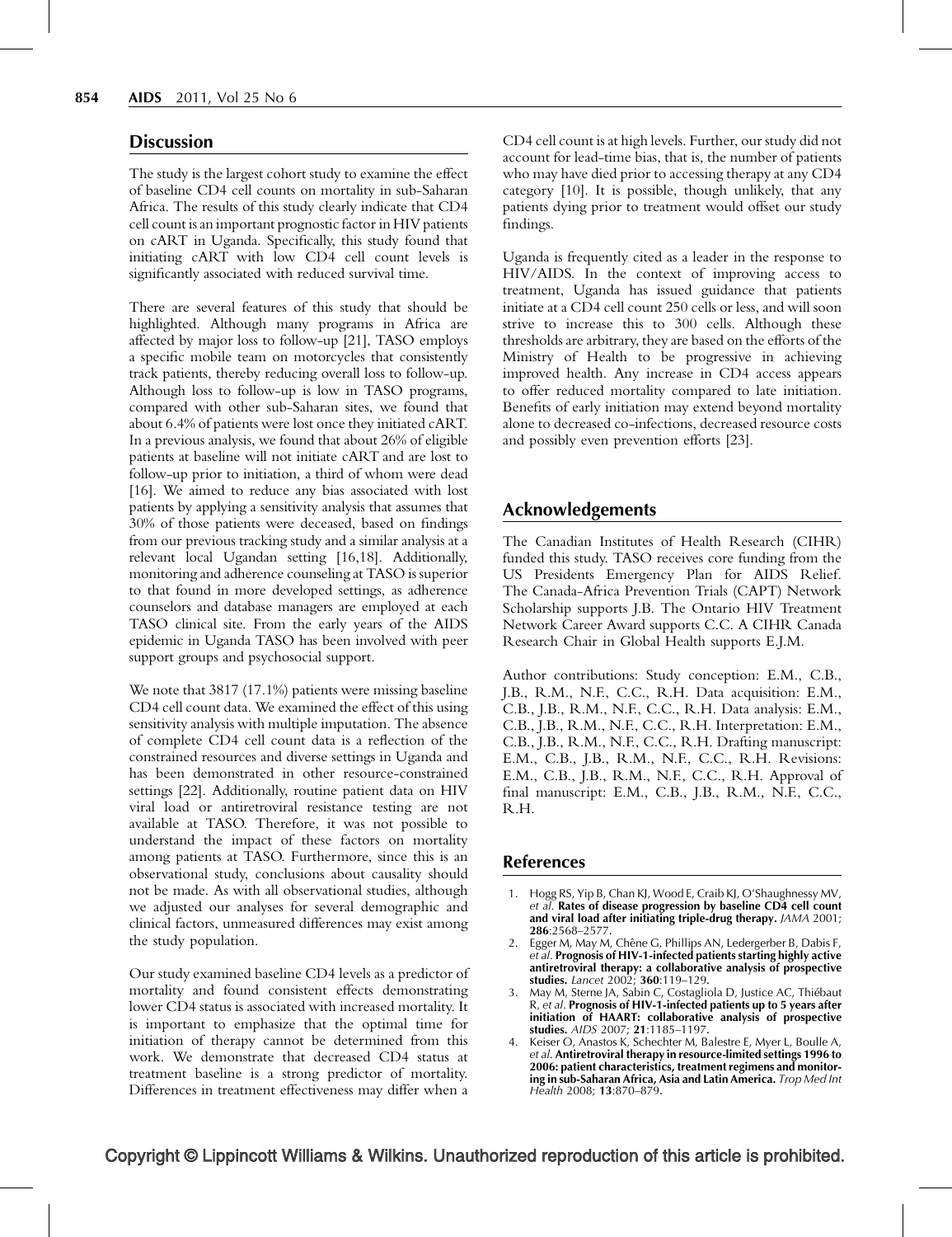## **Discussion**

The study is the largest cohort study to examine the effect of baseline CD4 cell counts on mortality in sub-Saharan Africa. The results of this study clearly indicate that CD4 cell count is an important prognostic factor in HIV patients on cART in Uganda. Specifically, this study found that initiating cART with low CD4 cell count levels is significantly associated with reduced survival time.

There are several features of this study that should be highlighted. Although many programs in Africa are affected by major loss to follow-up [21], TASO employs a specific mobile team on motorcycles that consistently track patients, thereby reducing overall loss to follow-up. Although loss to follow-up is low in TASO programs, compared with other sub-Saharan sites, we found that about 6.4% of patients were lost once they initiated cART. In a previous analysis, we found that about 26% of eligible patients at baseline will not initiate cART and are lost to follow-up prior to initiation, a third of whom were dead [16]. We aimed to reduce any bias associated with lost patients by applying a sensitivity analysis that assumes that 30% of those patients were deceased, based on findings from our previous tracking study and a similar analysis at a relevant local Ugandan setting [16,18]. Additionally, monitoring and adherence counseling at TASO is superior to that found in more developed settings, as adherence counselors and database managers are employed at each TASO clinical site. From the early years of the AIDS epidemic in Uganda TASO has been involved with peer support groups and psychosocial support.

We note that 3817 (17.1%) patients were missing baseline CD4 cell count data. We examined the effect of this using sensitivity analysis with multiple imputation. The absence of complete CD4 cell count data is a reflection of the constrained resources and diverse settings in Uganda and has been demonstrated in other resource-constrained settings [22]. Additionally, routine patient data on HIV viral load or antiretroviral resistance testing are not available at TASO. Therefore, it was not possible to understand the impact of these factors on mortality among patients at TASO. Furthermore, since this is an observational study, conclusions about causality should not be made. As with all observational studies, although we adjusted our analyses for several demographic and clinical factors, unmeasured differences may exist among the study population.

Our study examined baseline CD4 levels as a predictor of mortality and found consistent effects demonstrating lower CD4 status is associated with increased mortality. It is important to emphasize that the optimal time for initiation of therapy cannot be determined from this work. We demonstrate that decreased CD4 status at treatment baseline is a strong predictor of mortality. Differences in treatment effectiveness may differ when a CD4 cell count is at high levels. Further, our study did not account for lead-time bias, that is, the number of patients who may have died prior to accessing therapy at any CD4 category [10]. It is possible, though unlikely, that any patients dying prior to treatment would offset our study findings.

Uganda is frequently cited as a leader in the response to HIV/AIDS. In the context of improving access to treatment, Uganda has issued guidance that patients initiate at a CD4 cell count 250 cells or less, and will soon strive to increase this to 300 cells. Although these thresholds are arbitrary, they are based on the efforts of the Ministry of Health to be progressive in achieving improved health. Any increase in CD4 access appears to offer reduced mortality compared to late initiation. Benefits of early initiation may extend beyond mortality alone to decreased co-infections, decreased resource costs and possibly even prevention efforts [23].

## Acknowledgements

The Canadian Institutes of Health Research (CIHR) funded this study. TASO receives core funding from the US Presidents Emergency Plan for AIDS Relief. The Canada-Africa Prevention Trials (CAPT) Network Scholarship supports J.B. The Ontario HIV Treatment Network Career Award supports C.C. A CIHR Canada Research Chair in Global Health supports E.J.M.

Author contributions: Study conception: E.M., C.B., J.B., R.M., N.F., C.C., R.H. Data acquisition: E.M., C.B., J.B., R.M., N.F., C.C., R.H. Data analysis: E.M., C.B., J.B., R.M., N.F., C.C., R.H. Interpretation: E.M., C.B., J.B., R.M., N.F., C.C., R.H. Drafting manuscript: E.M., C.B., J.B., R.M., N.F., C.C., R.H. Revisions: E.M., C.B., J.B., R.M., N.F., C.C., R.H. Approval of final manuscript: E.M., C.B., J.B., R.M., N.F., C.C., R.H.

### References

- 1. Hogg RS, Yip B, Chan KJ, Wood E, Craib KJ, O'Shaughnessy MV, et al. Rates of disease progression by baseline CD4 cell count and viral load after initiating triple-drug therapy. JAMA 2001; 286:2568–2577.
- 2. Egger M, May M, Chêne G, Phillips AN, Ledergerber B, Dabis F, et al. Prognosis of HIV-1-infected patients starting highly active antiretroviral therapy: a collaborative analysis of prospective studies. Lancet 2002; 360:119-129.
- 3. May M, Sterne JA, Sabin C, Costagliola D, Justice AC, Thiébaut R, et al. Prognosis of HIV-1-infected patients up to 5 years after initiation of HAART: collaborative analysis of prospective studies. AIDS 2007; 21:1185–1197.
- 4. Keiser O, Anastos K, Schechter M, Balestre E, Myer L, Boulle A, et al. Antiretroviral therapy in resource-limited settings 1996 to 2006: patient characteristics, treatment regimens and monitoring in sub-Saharan Africa, Asia and Latin America. Trop Med Int Health 2008; 13:870–879.